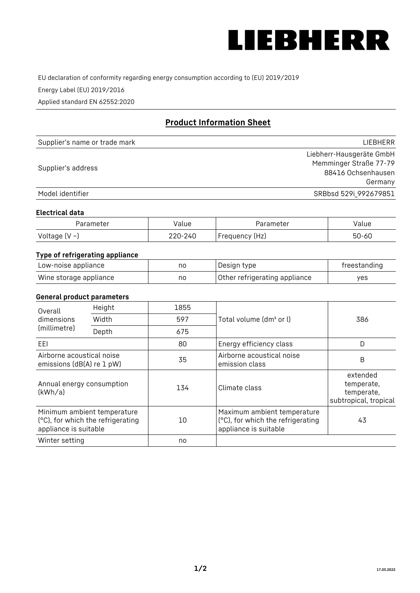

EU declaration of conformity regarding energy consumption according to (EU) 2019/2019

Energy Label (EU) 2019/2016

Applied standard EN 62552:2020

# **Product Information Sheet**

| Supplier's name or trade mark | LIEBHERR                 |
|-------------------------------|--------------------------|
|                               | Liebherr-Hausgeräte GmbH |
|                               | Memminger Straße 77-79   |
| Supplier's address            | 88416 Ochsenhausen       |
|                               | Germany                  |
| Model identifier              | SRBbsd 529i_992679851    |

#### **Electrical data**

| Parameter          | Value   | Parameter       | Value     |
|--------------------|---------|-----------------|-----------|
| Voltage $(V \sim)$ | 220-240 | 'Frequency (Hz) | $50 - 60$ |

## **Type of refrigerating appliance**

| Low-noise appliance    | nc | Design type                   | freestanding |
|------------------------|----|-------------------------------|--------------|
| Wine storage appliance | nc | Other refrigerating appliance | ves          |

#### **General product parameters**

| Height<br>Overall<br>dimensions<br>Width<br>(millimetre)<br>Depth | 1855                                                             |     |                                                                                           |                                                               |
|-------------------------------------------------------------------|------------------------------------------------------------------|-----|-------------------------------------------------------------------------------------------|---------------------------------------------------------------|
|                                                                   |                                                                  | 597 | Total volume (dm <sup>3</sup> or l)                                                       | 386                                                           |
|                                                                   |                                                                  | 675 |                                                                                           |                                                               |
| EEL                                                               |                                                                  | 80  | Energy efficiency class                                                                   | D                                                             |
| Airborne acoustical noise<br>emissions (dB(A) re 1 pW)            |                                                                  | 35  | Airborne acoustical noise<br>emission class                                               | B                                                             |
| Annual energy consumption<br>(kWh/a)                              |                                                                  | 134 | Climate class                                                                             | extended<br>temperate,<br>temperate,<br>subtropical, tropical |
| appliance is suitable                                             | Minimum ambient temperature<br>(°C), for which the refrigerating | 10  | Maximum ambient temperature<br>(°C), for which the refrigerating<br>appliance is suitable | 43                                                            |
| Winter setting                                                    |                                                                  | no  |                                                                                           |                                                               |